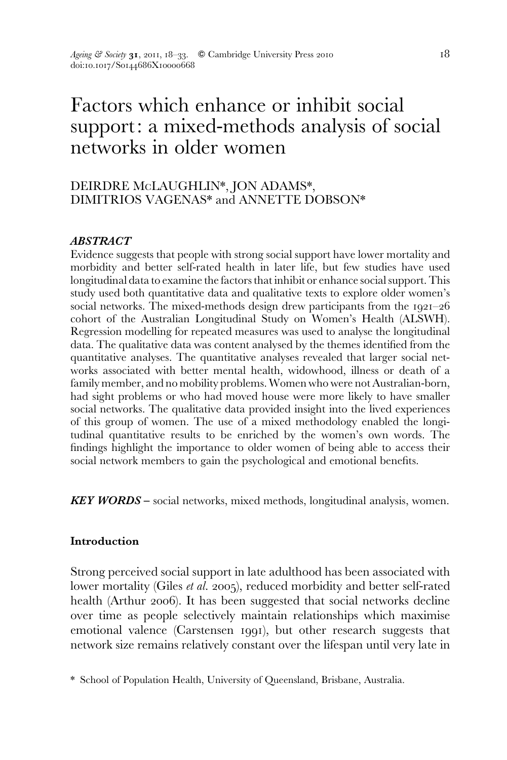# Factors which enhance or inhibit social support: a mixed-methods analysis of social networks in older women

# DEIRDRE MCLAUGHLIN\*, JON ADAMS\*, DIMITRIOS VAGENAS\* and ANNETTE DOBSON\*

## ABSTRACT

Evidence suggests that people with strong social support have lower mortality and morbidity and better self-rated health in later life, but few studies have used longitudinal data to examine the factors that inhibit or enhance social support. This study used both quantitative data and qualitative texts to explore older women's social networks. The mixed-methods design drew participants from the 1921–26 cohort of the Australian Longitudinal Study on Women's Health (ALSWH). Regression modelling for repeated measures was used to analyse the longitudinal data. The qualitative data was content analysed by the themes identified from the quantitative analyses. The quantitative analyses revealed that larger social networks associated with better mental health, widowhood, illness or death of a family member, and no mobility problems. Women who were not Australian-born, had sight problems or who had moved house were more likely to have smaller social networks. The qualitative data provided insight into the lived experiences of this group of women. The use of a mixed methodology enabled the longitudinal quantitative results to be enriched by the women's own words. The findings highlight the importance to older women of being able to access their social network members to gain the psychological and emotional benefits.

KEY WORDS – social networks, mixed methods, longitudinal analysis, women.

## Introduction

Strong perceived social support in late adulthood has been associated with lower mortality (Giles et al. 2005), reduced morbidity and better self-rated health (Arthur 2006). It has been suggested that social networks decline over time as people selectively maintain relationships which maximise emotional valence (Carstensen 1991), but other research suggests that network size remains relatively constant over the lifespan until very late in

<sup>\*</sup> School of Population Health, University of Queensland, Brisbane, Australia.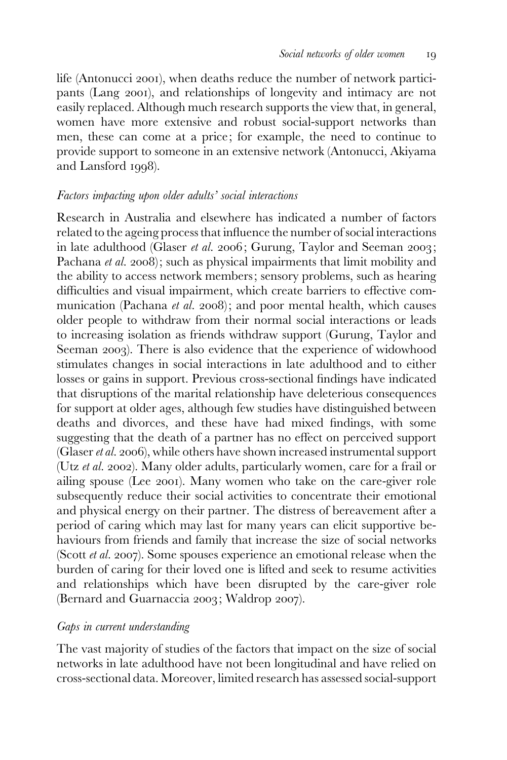life (Antonucci 2001), when deaths reduce the number of network participants (Lang 2001), and relationships of longevity and intimacy are not easily replaced. Although much research supports the view that, in general, women have more extensive and robust social-support networks than men, these can come at a price; for example, the need to continue to provide support to someone in an extensive network (Antonucci, Akiyama and Lansford 1998).

#### Factors impacting upon older adults' social interactions

Research in Australia and elsewhere has indicated a number of factors related to the ageing process that influence the number of social interactions in late adulthood (Glaser et al. 2006; Gurung, Taylor and Seeman 2003; Pachana et al. 2008); such as physical impairments that limit mobility and the ability to access network members; sensory problems, such as hearing difficulties and visual impairment, which create barriers to effective communication (Pachana *et al.* 2008); and poor mental health, which causes older people to withdraw from their normal social interactions or leads to increasing isolation as friends withdraw support (Gurung, Taylor and Seeman 2003). There is also evidence that the experience of widowhood stimulates changes in social interactions in late adulthood and to either losses or gains in support. Previous cross-sectional findings have indicated that disruptions of the marital relationship have deleterious consequences for support at older ages, although few studies have distinguished between deaths and divorces, and these have had mixed findings, with some suggesting that the death of a partner has no effect on perceived support (Glaser *et al.* 2006), while others have shown increased instrumental support (Utz et al. 2002). Many older adults, particularly women, care for a frail or ailing spouse (Lee 2001). Many women who take on the care-giver role subsequently reduce their social activities to concentrate their emotional and physical energy on their partner. The distress of bereavement after a period of caring which may last for many years can elicit supportive behaviours from friends and family that increase the size of social networks (Scott et al. 2007). Some spouses experience an emotional release when the burden of caring for their loved one is lifted and seek to resume activities and relationships which have been disrupted by the care-giver role (Bernard and Guarnaccia 2003; Waldrop 2007).

#### Gaps in current understanding

The vast majority of studies of the factors that impact on the size of social networks in late adulthood have not been longitudinal and have relied on cross-sectional data. Moreover, limited research has assessed social-support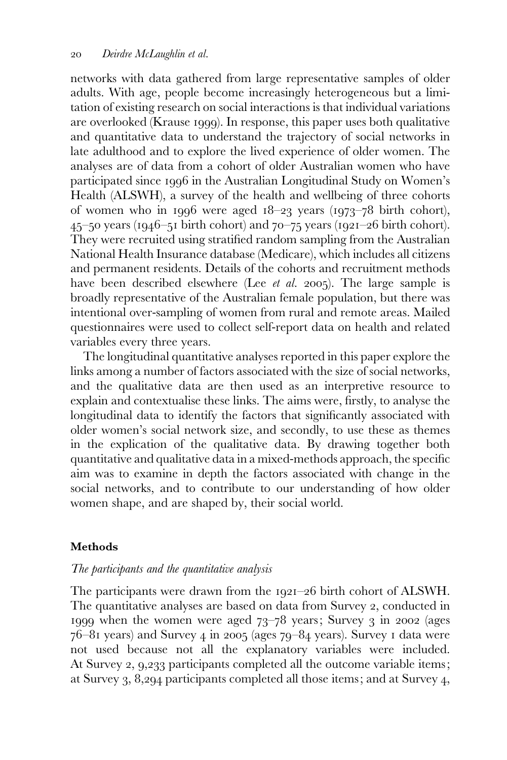networks with data gathered from large representative samples of older adults. With age, people become increasingly heterogeneous but a limitation of existing research on social interactions is that individual variations are overlooked (Krause 1999). In response, this paper uses both qualitative and quantitative data to understand the trajectory of social networks in late adulthood and to explore the lived experience of older women. The analyses are of data from a cohort of older Australian women who have participated since 1996 in the Australian Longitudinal Study on Women's Health (ALSWH), a survey of the health and wellbeing of three cohorts of women who in 1996 were aged 18–23 years (1973–78 birth cohort),  $45$ –50 years (1946–51 birth cohort) and  $70$ –75 years (1921–26 birth cohort). They were recruited using stratified random sampling from the Australian National Health Insurance database (Medicare), which includes all citizens and permanent residents. Details of the cohorts and recruitment methods have been described elsewhere (Lee *et al.* 2005). The large sample is broadly representative of the Australian female population, but there was intentional over-sampling of women from rural and remote areas. Mailed questionnaires were used to collect self-report data on health and related variables every three years.

The longitudinal quantitative analyses reported in this paper explore the links among a number of factors associated with the size of social networks, and the qualitative data are then used as an interpretive resource to explain and contextualise these links. The aims were, firstly, to analyse the longitudinal data to identify the factors that significantly associated with older women's social network size, and secondly, to use these as themes in the explication of the qualitative data. By drawing together both quantitative and qualitative data in a mixed-methods approach, the specific aim was to examine in depth the factors associated with change in the social networks, and to contribute to our understanding of how older women shape, and are shaped by, their social world.

## Methods

#### The participants and the quantitative analysis

The participants were drawn from the 1921–26 birth cohort of ALSWH. The quantitative analyses are based on data from Survey 2, conducted in 1999 when the women were aged 73–78 years; Survey 3 in 2002 (ages 76–81 years) and Survey 4 in 2005 (ages 79–84 years). Survey 1 data were not used because not all the explanatory variables were included. At Survey 2, 9,233 participants completed all the outcome variable items; at Survey 3, 8,294 participants completed all those items; and at Survey 4,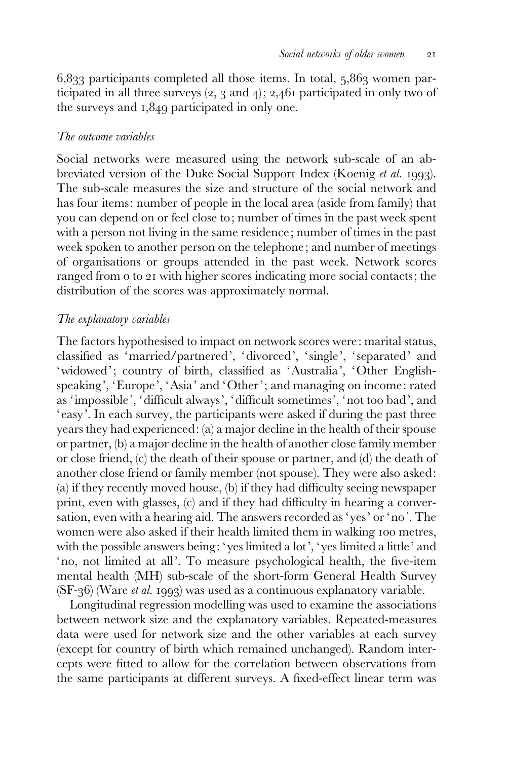$6,833$  participants completed all those items. In total,  $5,863$  women participated in all three surveys (2, 3 and 4); 2,461 participated in only two of the surveys and 1,849 participated in only one.

#### The outcome variables

Social networks were measured using the network sub-scale of an abbreviated version of the Duke Social Support Index (Koenig et al. 1993). The sub-scale measures the size and structure of the social network and has four items: number of people in the local area (aside from family) that you can depend on or feel close to; number of times in the past week spent with a person not living in the same residence; number of times in the past week spoken to another person on the telephone; and number of meetings of organisations or groups attended in the past week. Network scores ranged from 0 to 21 with higher scores indicating more social contacts; the distribution of the scores was approximately normal.

#### The explanatory variables

The factors hypothesised to impact on network scores were: marital status, classified as 'married/partnered', 'divorced', ' single', ' separated' and 'widowed'; country of birth, classified as 'Australia', 'Other Englishspeaking', 'Europe', 'Asia' and 'Other'; and managing on income: rated as 'impossible', 'difficult always', 'difficult sometimes', 'not too bad', and 'easy'. In each survey, the participants were asked if during the past three years they had experienced: (a) a major decline in the health of their spouse or partner, (b) a major decline in the health of another close family member or close friend, (c) the death of their spouse or partner, and (d) the death of another close friend or family member (not spouse). They were also asked: (a) if they recently moved house, (b) if they had difficulty seeing newspaper print, even with glasses, (c) and if they had difficulty in hearing a conversation, even with a hearing aid. The answers recorded as 'yes' or 'no'. The women were also asked if their health limited them in walking 100 metres, with the possible answers being: 'yes limited a lot', 'yes limited a little' and 'no, not limited at all'. To measure psychological health, the five-item mental health (MH) sub-scale of the short-form General Health Survey (SF-36) (Ware et al. 1993) was used as a continuous explanatory variable.

Longitudinal regression modelling was used to examine the associations between network size and the explanatory variables. Repeated-measures data were used for network size and the other variables at each survey (except for country of birth which remained unchanged). Random intercepts were fitted to allow for the correlation between observations from the same participants at different surveys. A fixed-effect linear term was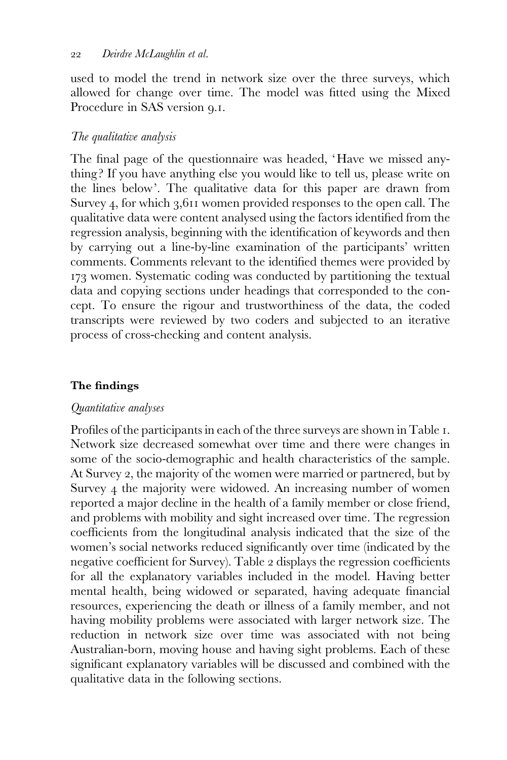used to model the trend in network size over the three surveys, which allowed for change over time. The model was fitted using the Mixed Procedure in SAS version 9.1.

# The qualitative analysis

The final page of the questionnaire was headed, 'Have we missed anything ? If you have anything else you would like to tell us, please write on the lines below'. The qualitative data for this paper are drawn from Survey 4, for which 3,611 women provided responses to the open call. The qualitative data were content analysed using the factors identified from the regression analysis, beginning with the identification of keywords and then by carrying out a line-by-line examination of the participants' written comments. Comments relevant to the identified themes were provided by 173 women. Systematic coding was conducted by partitioning the textual data and copying sections under headings that corresponded to the concept. To ensure the rigour and trustworthiness of the data, the coded transcripts were reviewed by two coders and subjected to an iterative process of cross-checking and content analysis.

# The findings

## Quantitative analyses

Profiles of the participants in each of the three surveys are shown in Table 1. Network size decreased somewhat over time and there were changes in some of the socio-demographic and health characteristics of the sample. At Survey 2, the majority of the women were married or partnered, but by Survey 4 the majority were widowed. An increasing number of women reported a major decline in the health of a family member or close friend, and problems with mobility and sight increased over time. The regression coefficients from the longitudinal analysis indicated that the size of the women's social networks reduced significantly over time (indicated by the negative coefficient for Survey). Table 2 displays the regression coefficients for all the explanatory variables included in the model. Having better mental health, being widowed or separated, having adequate financial resources, experiencing the death or illness of a family member, and not having mobility problems were associated with larger network size. The reduction in network size over time was associated with not being Australian-born, moving house and having sight problems. Each of these significant explanatory variables will be discussed and combined with the qualitative data in the following sections.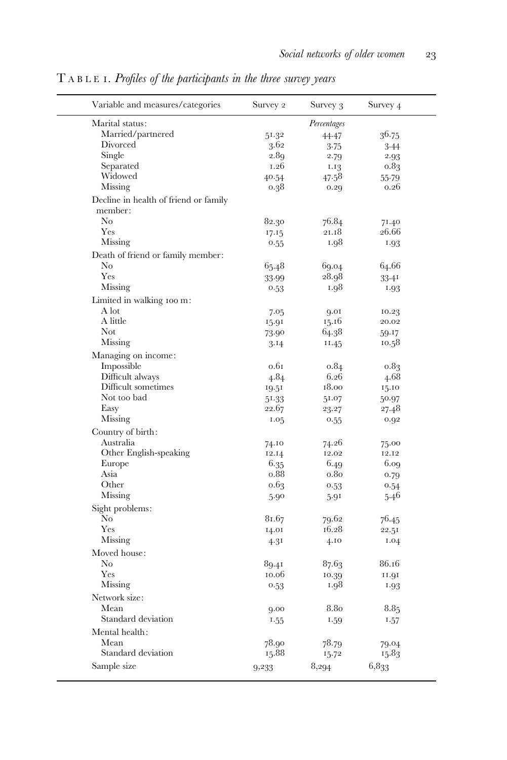| Variable and measures/categories                 | Survey 2 | Survey 3         | Survey 4         |
|--------------------------------------------------|----------|------------------|------------------|
| Marital status:                                  |          | Percentages      |                  |
| Married/partnered                                | 51.32    | 44.47            | 36.75            |
| Divorced                                         | 3.62     | 3.75             | 3.44             |
| Single                                           | 2.89     | 2.79             | 2.93             |
| Separated                                        | 1.26     | 1.13             | 0.83             |
| Widowed                                          | 40.54    | 47.58            | $55-79$          |
| Missing                                          | 0.38     | 0.29             | 0.26             |
| Decline in health of friend or family<br>member: |          |                  |                  |
| No                                               | 82.30    | 76.84            | 71.40            |
| Yes                                              | 17.15    | 21.18            | 26.66            |
| Missing                                          | 0.55     | 1.98             | 1.93             |
|                                                  |          |                  |                  |
| Death of friend or family member:                |          |                  |                  |
| No                                               | 65.48    | 69.04            | 64.66            |
| Yes                                              | 33.99    | 28.98            | 33.41            |
| Missing                                          | 0.53     | 1.98             | 1.93             |
| Limited in walking 100 m:                        |          |                  |                  |
| A lot                                            | 7.05     | 9.01             | 10.23            |
| A little                                         | 15.91    | 15.16            | 20.02            |
| Not                                              | 73.90    | 64.38            | 59.17            |
| Missing                                          | 3.14     | 11.45            | 10.58            |
| Managing on income:                              |          |                  |                  |
| Impossible                                       | 0.61     | 0.84             | 0.83             |
| Difficult always                                 | 4.84     | 6.26             | 4.68             |
| Difficult sometimes                              | 19.51    | 18.00            | 15.10            |
| Not too bad                                      | 51.33    | 51.07            | 50.97            |
| Easy                                             | 22.67    |                  | 27.48            |
| Missing                                          |          | 23.27            |                  |
|                                                  | 1.05     | 0.55             | 0.92             |
| Country of birth:                                |          |                  |                  |
| Australia                                        | 74.10    | 74.26            | 75.00            |
| Other English-speaking                           | 12.14    | 12.02            | 12.12            |
| Europe                                           | 6.35     | 6.49             | 6.09             |
| Asia                                             | 0.88     | 0.8 <sub>0</sub> | 0.79             |
| Other                                            | 0.63     | 0.53             | 0.54             |
| Missing                                          | 5.90     | 5.91             | 5.46             |
| Sight problems:                                  |          |                  |                  |
| No                                               | 81.67    | 79.62            | 76.45            |
| Yes                                              | 14.01    | 16.28            | 22.51            |
| Missing                                          | 4.31     | 4.10             | 1.04             |
| Moved house:                                     |          |                  |                  |
| No                                               | 89.41    | 87.63            | 86.16            |
| Yes                                              | 10.06    | 10.39            | 10.11            |
| Missing                                          | 0.53     | 1.98             |                  |
|                                                  |          |                  | 1.93             |
| Network size:                                    |          |                  |                  |
| Mean                                             | 9.00     | 8.80             | 8.8 <sub>5</sub> |
| Standard deviation                               | 1.55     | 1.59             | 1.57             |
| Mental health:                                   |          |                  |                  |
| Mean                                             | 78.90    | 78.79            | 79.04            |
|                                                  |          |                  |                  |
| Standard deviation                               | 15.88    | 15.72            | 15.83            |

T ABLE 1. Profiles of the participants in the three survey years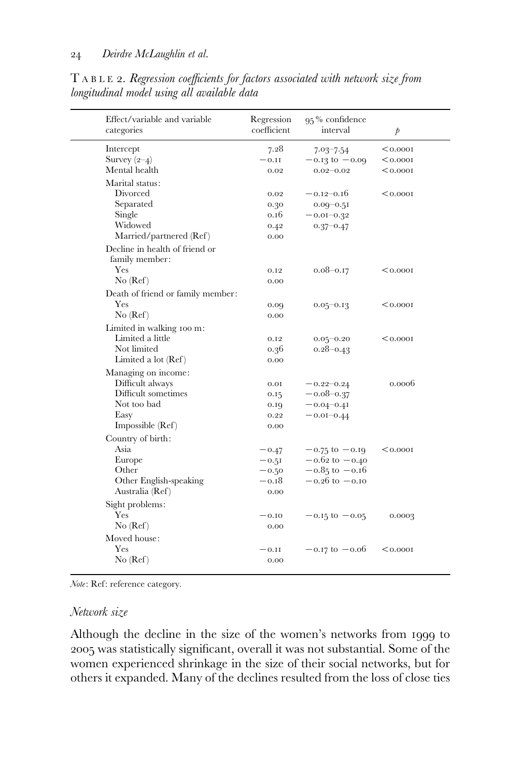| Effect/variable and variable<br>categories       | Regression<br>coefficient | 95% confidence<br>interval | $\mathfrak{p}$ |  |
|--------------------------------------------------|---------------------------|----------------------------|----------------|--|
| Intercept                                        | 7.28                      | $7.03 - 7.54$              | < 0.0001       |  |
| Survey $(2-4)$                                   | $-0.11$                   | $-0.13$ to $-0.09$         | < 0.0001       |  |
| Mental health                                    | 0.02                      | $0.02 - 0.02$              | < 0.0001       |  |
| Marital status:                                  |                           |                            |                |  |
| Divorced                                         | 0.02                      | $-0.12 - 0.16$             | < 0.0001       |  |
| Separated                                        | 0.30                      | $0.09 - 0.51$              |                |  |
| Single                                           | 0.16                      | $-0.01 - 0.32$             |                |  |
| Widowed                                          | 0.42                      | $0.37 - 0.47$              |                |  |
| Married/partnered (Ref)                          | 0.00                      |                            |                |  |
| Decline in health of friend or<br>family member: |                           |                            |                |  |
| Yes                                              | 0.12                      | $0.08 - 0.17$              | < 0.0001       |  |
| No (Ref)                                         | 0.00                      |                            |                |  |
| Death of friend or family member:                |                           |                            |                |  |
| <b>Yes</b>                                       | 0.09                      | $0.05 - 0.13$              | < 0.0001       |  |
| No (Ref)                                         | 0.00                      |                            |                |  |
| Limited in walking 100 m:                        |                           |                            |                |  |
| Limited a little                                 | 0.12                      | $0.05 - 0.20$              | < 0.0001       |  |
| Not limited                                      | 0.36                      | $0.28 - 0.43$              |                |  |
| Limited a lot (Ref)                              | 0.00                      |                            |                |  |
| Managing on income:                              |                           |                            |                |  |
| Difficult always                                 | 0.01                      | $-0.22 - 0.24$             | 0.0006         |  |
| Difficult sometimes                              | 0.15                      | $-0.08 - 0.37$             |                |  |
| Not too bad                                      | 0.19                      | $-0.04 - 0.41$             |                |  |
| Easy                                             | 0.22                      | $-0.01 - 0.44$             |                |  |
| Impossible $(Ref)$                               | 0.00                      |                            |                |  |
| Country of birth:                                |                           |                            |                |  |
| Asia                                             | $-0.47$                   | $-0.75$ to $-0.19$         | < 0.0001       |  |
| Europe                                           | $-0.51$                   | $-0.62$ to $-0.40$         |                |  |
| Other                                            | $-0.50$                   | $-0.85$ to $-0.16$         |                |  |
| Other English-speaking                           | $-0.18$                   | $-0.26$ to $-0.10$         |                |  |
| Australia (Ref)                                  | 0.00                      |                            |                |  |
| Sight problems:                                  |                           |                            |                |  |
| Yes                                              | $-0.10$                   | $-0.15$ to $-0.05$         | 0.0003         |  |
| No (Ref)                                         | 0.00                      |                            |                |  |
| Moved house:                                     |                           |                            |                |  |
| Yes                                              | $-0.11$                   | $-0.17 \text{ to } -0.06$  | < 0.0001       |  |
|                                                  |                           |                            |                |  |

T ABLE 2. Regression coefficients for factors associated with network size from longitudinal model using all available data

Note: Ref: reference category.

## Network size

Although the decline in the size of the women's networks from 1999 to 2005 was statistically significant, overall it was not substantial. Some of the women experienced shrinkage in the size of their social networks, but for others it expanded. Many of the declines resulted from the loss of close ties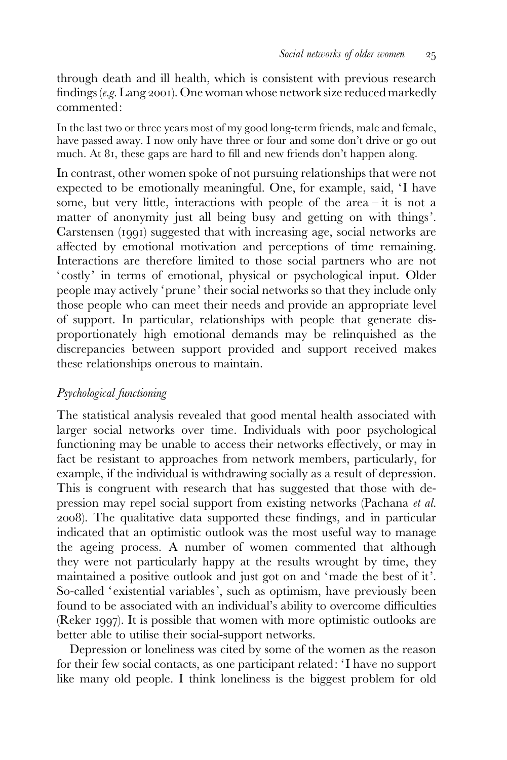through death and ill health, which is consistent with previous research findings (e.g. Lang 2001). One woman whose network size reduced markedly commented:

In the last two or three years most of my good long-term friends, male and female, have passed away. I now only have three or four and some don't drive or go out much. At 81, these gaps are hard to fill and new friends don't happen along.

In contrast, other women spoke of not pursuing relationships that were not expected to be emotionally meaningful. One, for example, said, 'I have some, but very little, interactions with people of the area – it is not a matter of anonymity just all being busy and getting on with things'. Carstensen (1991) suggested that with increasing age, social networks are affected by emotional motivation and perceptions of time remaining. Interactions are therefore limited to those social partners who are not 'costly' in terms of emotional, physical or psychological input. Older people may actively 'prune' their social networks so that they include only those people who can meet their needs and provide an appropriate level of support. In particular, relationships with people that generate disproportionately high emotional demands may be relinquished as the discrepancies between support provided and support received makes these relationships onerous to maintain.

# Psychological functioning

The statistical analysis revealed that good mental health associated with larger social networks over time. Individuals with poor psychological functioning may be unable to access their networks effectively, or may in fact be resistant to approaches from network members, particularly, for example, if the individual is withdrawing socially as a result of depression. This is congruent with research that has suggested that those with depression may repel social support from existing networks (Pachana et al. 2008). The qualitative data supported these findings, and in particular indicated that an optimistic outlook was the most useful way to manage the ageing process. A number of women commented that although they were not particularly happy at the results wrought by time, they maintained a positive outlook and just got on and 'made the best of it'. So-called 'existential variables', such as optimism, have previously been found to be associated with an individual's ability to overcome difficulties (Reker 1997). It is possible that women with more optimistic outlooks are better able to utilise their social-support networks.

Depression or loneliness was cited by some of the women as the reason for their few social contacts, as one participant related: ' I have no support like many old people. I think loneliness is the biggest problem for old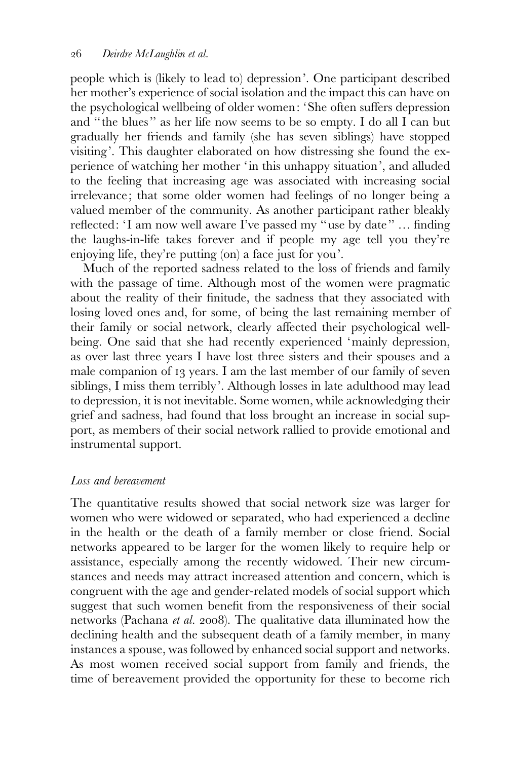people which is (likely to lead to) depression'. One participant described her mother's experience of social isolation and the impact this can have on the psychological wellbeing of older women: 'She often suffers depression and ''the blues'' as her life now seems to be so empty. I do all I can but gradually her friends and family (she has seven siblings) have stopped visiting'. This daughter elaborated on how distressing she found the experience of watching her mother 'in this unhappy situation', and alluded to the feeling that increasing age was associated with increasing social irrelevance; that some older women had feelings of no longer being a valued member of the community. As another participant rather bleakly reflected: 'I am now well aware I've passed my "use by date" ... finding the laughs-in-life takes forever and if people my age tell you they're enjoying life, they're putting (on) a face just for you'.

Much of the reported sadness related to the loss of friends and family with the passage of time. Although most of the women were pragmatic about the reality of their finitude, the sadness that they associated with losing loved ones and, for some, of being the last remaining member of their family or social network, clearly affected their psychological wellbeing. One said that she had recently experienced 'mainly depression, as over last three years I have lost three sisters and their spouses and a male companion of 13 years. I am the last member of our family of seven siblings, I miss them terribly'. Although losses in late adulthood may lead to depression, it is not inevitable. Some women, while acknowledging their grief and sadness, had found that loss brought an increase in social support, as members of their social network rallied to provide emotional and instrumental support.

# Loss and bereavement

The quantitative results showed that social network size was larger for women who were widowed or separated, who had experienced a decline in the health or the death of a family member or close friend. Social networks appeared to be larger for the women likely to require help or assistance, especially among the recently widowed. Their new circumstances and needs may attract increased attention and concern, which is congruent with the age and gender-related models of social support which suggest that such women benefit from the responsiveness of their social networks (Pachana et al. 2008). The qualitative data illuminated how the declining health and the subsequent death of a family member, in many instances a spouse, was followed by enhanced social support and networks. As most women received social support from family and friends, the time of bereavement provided the opportunity for these to become rich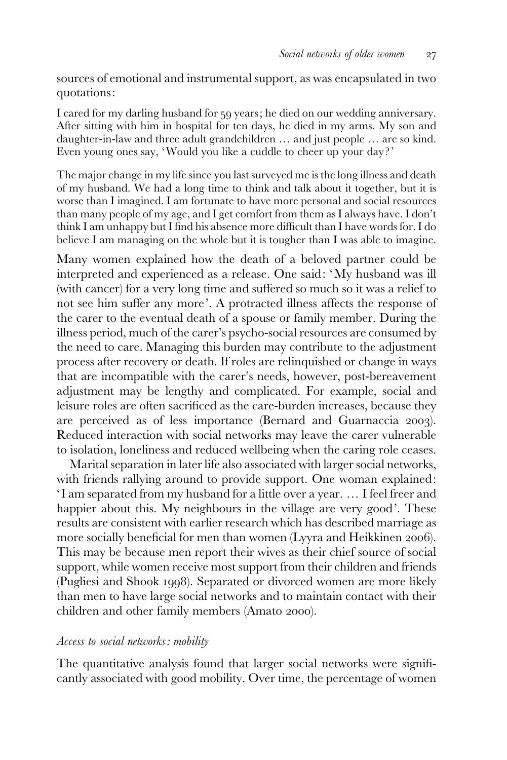sources of emotional and instrumental support, as was encapsulated in two quotations:

I cared for my darling husband for 59 years; he died on our wedding anniversary. After sitting with him in hospital for ten days, he died in my arms. My son and daughter-in-law and three adult grandchildren … and just people … are so kind. Even young ones say, 'Would you like a cuddle to cheer up your day ?'

The major change in my life since you last surveyed me is the long illness and death of my husband. We had a long time to think and talk about it together, but it is worse than I imagined. I am fortunate to have more personal and social resources than many people of my age, and I get comfort from them as I always have. I don't think I am unhappy but I find his absence more difficult than I have words for. I do believe I am managing on the whole but it is tougher than I was able to imagine.

Many women explained how the death of a beloved partner could be interpreted and experienced as a release. One said: 'My husband was ill (with cancer) for a very long time and suffered so much so it was a relief to not see him suffer any more'. A protracted illness affects the response of the carer to the eventual death of a spouse or family member. During the illness period, much of the carer's psycho-social resources are consumed by the need to care. Managing this burden may contribute to the adjustment process after recovery or death. If roles are relinquished or change in ways that are incompatible with the carer's needs, however, post-bereavement adjustment may be lengthy and complicated. For example, social and leisure roles are often sacrificed as the care-burden increases, because they are perceived as of less importance (Bernard and Guarnaccia 2003). Reduced interaction with social networks may leave the carer vulnerable to isolation, loneliness and reduced wellbeing when the caring role ceases.

Marital separation in later life also associated with larger social networks, with friends rallying around to provide support. One woman explained: ' I am separated from my husband for a little over a year. … I feel freer and happier about this. My neighbours in the village are very good'. These results are consistent with earlier research which has described marriage as more socially beneficial for men than women (Lyyra and Heikkinen 2006). This may be because men report their wives as their chief source of social support, while women receive most support from their children and friends (Pugliesi and Shook 1998). Separated or divorced women are more likely than men to have large social networks and to maintain contact with their children and other family members (Amato 2000).

## Access to social networks: mobility

The quantitative analysis found that larger social networks were significantly associated with good mobility. Over time, the percentage of women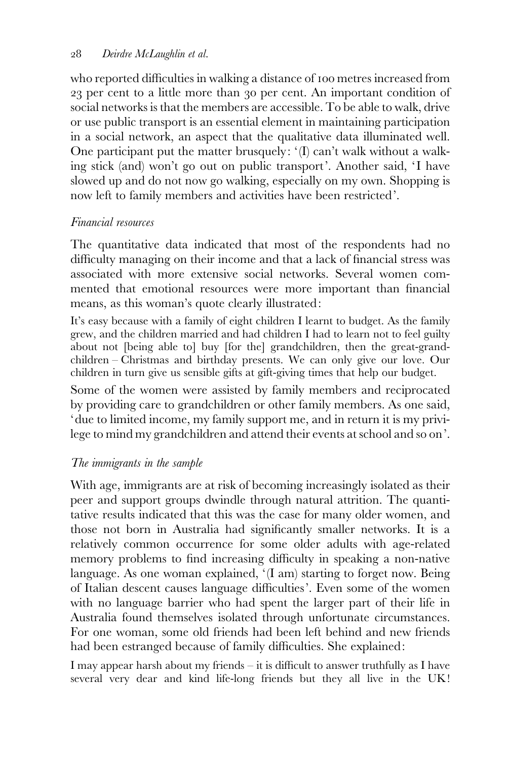who reported difficulties in walking a distance of 100 metres increased from 23 per cent to a little more than 30 per cent. An important condition of social networks is that the members are accessible. To be able to walk, drive or use public transport is an essential element in maintaining participation in a social network, an aspect that the qualitative data illuminated well. One participant put the matter brusquely: '(I) can't walk without a walking stick (and) won't go out on public transport'. Another said, 'I have slowed up and do not now go walking, especially on my own. Shopping is now left to family members and activities have been restricted'.

# Financial resources

The quantitative data indicated that most of the respondents had no difficulty managing on their income and that a lack of financial stress was associated with more extensive social networks. Several women commented that emotional resources were more important than financial means, as this woman's quote clearly illustrated:

It's easy because with a family of eight children I learnt to budget. As the family grew, and the children married and had children I had to learn not to feel guilty about not [being able to] buy [for the] grandchildren, then the great-grandchildren – Christmas and birthday presents. We can only give our love. Our children in turn give us sensible gifts at gift-giving times that help our budget.

Some of the women were assisted by family members and reciprocated by providing care to grandchildren or other family members. As one said, 'due to limited income, my family support me, and in return it is my privilege to mind my grandchildren and attend their events at school and so on'.

# The immigrants in the sample

With age, immigrants are at risk of becoming increasingly isolated as their peer and support groups dwindle through natural attrition. The quantitative results indicated that this was the case for many older women, and those not born in Australia had significantly smaller networks. It is a relatively common occurrence for some older adults with age-related memory problems to find increasing difficulty in speaking a non-native language. As one woman explained, '(I am) starting to forget now. Being of Italian descent causes language difficulties'. Even some of the women with no language barrier who had spent the larger part of their life in Australia found themselves isolated through unfortunate circumstances. For one woman, some old friends had been left behind and new friends had been estranged because of family difficulties. She explained:

I may appear harsh about my friends – it is difficult to answer truthfully as I have several very dear and kind life-long friends but they all live in the UK!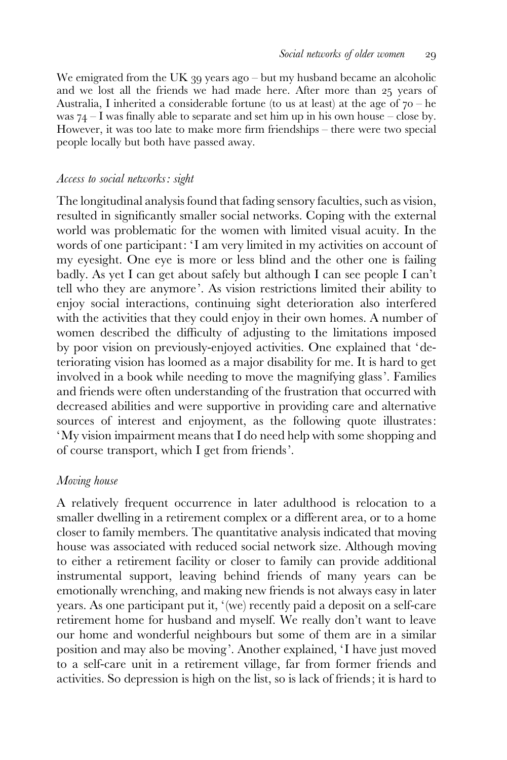We emigrated from the UK 39 years ago – but my husband became an alcoholic and we lost all the friends we had made here. After more than 25 years of Australia, I inherited a considerable fortune (to us at least) at the age of  $70 - he$ was  $74 - I$  was finally able to separate and set him up in his own house – close by. However, it was too late to make more firm friendships – there were two special people locally but both have passed away.

#### Access to social networks: sight

The longitudinal analysis found that fading sensory faculties, such as vision, resulted in significantly smaller social networks. Coping with the external world was problematic for the women with limited visual acuity. In the words of one participant: 'I am very limited in my activities on account of my eyesight. One eye is more or less blind and the other one is failing badly. As yet I can get about safely but although I can see people I can't tell who they are anymore'. As vision restrictions limited their ability to enjoy social interactions, continuing sight deterioration also interfered with the activities that they could enjoy in their own homes. A number of women described the difficulty of adjusting to the limitations imposed by poor vision on previously-enjoyed activities. One explained that 'deteriorating vision has loomed as a major disability for me. It is hard to get involved in a book while needing to move the magnifying glass'. Families and friends were often understanding of the frustration that occurred with decreased abilities and were supportive in providing care and alternative sources of interest and enjoyment, as the following quote illustrates: 'My vision impairment means that I do need help with some shopping and of course transport, which I get from friends'.

#### Moving house

A relatively frequent occurrence in later adulthood is relocation to a smaller dwelling in a retirement complex or a different area, or to a home closer to family members. The quantitative analysis indicated that moving house was associated with reduced social network size. Although moving to either a retirement facility or closer to family can provide additional instrumental support, leaving behind friends of many years can be emotionally wrenching, and making new friends is not always easy in later years. As one participant put it, '(we) recently paid a deposit on a self-care retirement home for husband and myself. We really don't want to leave our home and wonderful neighbours but some of them are in a similar position and may also be moving'. Another explained, 'I have just moved to a self-care unit in a retirement village, far from former friends and activities. So depression is high on the list, so is lack of friends; it is hard to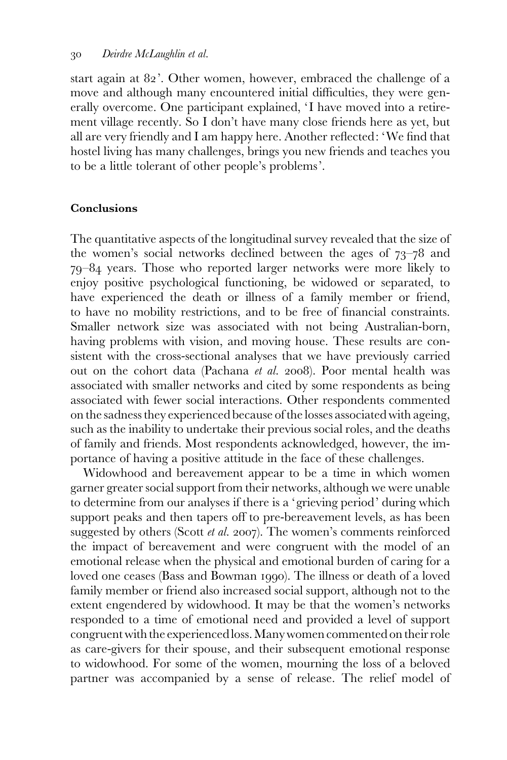start again at 82'. Other women, however, embraced the challenge of a move and although many encountered initial difficulties, they were generally overcome. One participant explained, 'I have moved into a retirement village recently. So I don't have many close friends here as yet, but all are very friendly and I am happy here. Another reflected: 'We find that hostel living has many challenges, brings you new friends and teaches you to be a little tolerant of other people's problems'.

#### Conclusions

The quantitative aspects of the longitudinal survey revealed that the size of the women's social networks declined between the ages of 73–78 and 79–84 years. Those who reported larger networks were more likely to enjoy positive psychological functioning, be widowed or separated, to have experienced the death or illness of a family member or friend, to have no mobility restrictions, and to be free of financial constraints. Smaller network size was associated with not being Australian-born, having problems with vision, and moving house. These results are consistent with the cross-sectional analyses that we have previously carried out on the cohort data (Pachana et al. 2008). Poor mental health was associated with smaller networks and cited by some respondents as being associated with fewer social interactions. Other respondents commented on the sadness they experienced because of the losses associated with ageing, such as the inability to undertake their previous social roles, and the deaths of family and friends. Most respondents acknowledged, however, the importance of having a positive attitude in the face of these challenges.

Widowhood and bereavement appear to be a time in which women garner greater social support from their networks, although we were unable to determine from our analyses if there is a 'grieving period' during which support peaks and then tapers off to pre-bereavement levels, as has been suggested by others (Scott et al. 2007). The women's comments reinforced the impact of bereavement and were congruent with the model of an emotional release when the physical and emotional burden of caring for a loved one ceases (Bass and Bowman 1990). The illness or death of a loved family member or friend also increased social support, although not to the extent engendered by widowhood. It may be that the women's networks responded to a time of emotional need and provided a level of support congruent with the experienced loss. Many women commented on their role as care-givers for their spouse, and their subsequent emotional response to widowhood. For some of the women, mourning the loss of a beloved partner was accompanied by a sense of release. The relief model of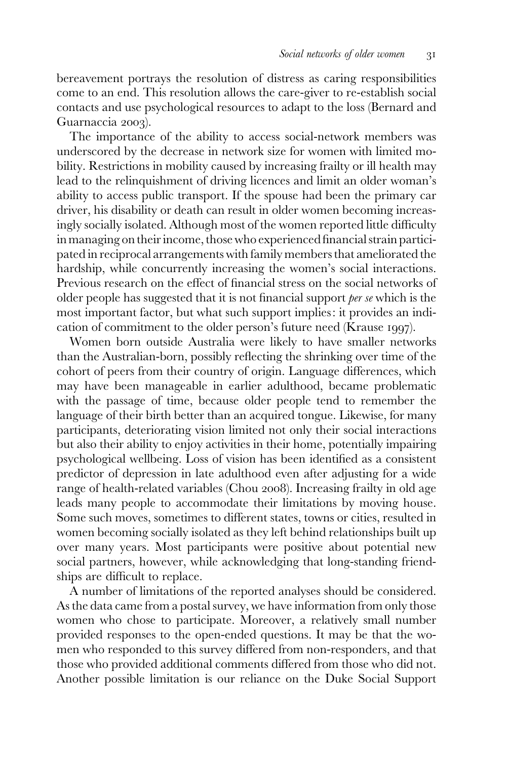bereavement portrays the resolution of distress as caring responsibilities come to an end. This resolution allows the care-giver to re-establish social contacts and use psychological resources to adapt to the loss (Bernard and Guarnaccia 2003).

The importance of the ability to access social-network members was underscored by the decrease in network size for women with limited mobility. Restrictions in mobility caused by increasing frailty or ill health may lead to the relinquishment of driving licences and limit an older woman's ability to access public transport. If the spouse had been the primary car driver, his disability or death can result in older women becoming increasingly socially isolated. Although most of the women reported little difficulty in managing on their income, those who experienced financial strain participated in reciprocal arrangements with family members that ameliorated the hardship, while concurrently increasing the women's social interactions. Previous research on the effect of financial stress on the social networks of older people has suggested that it is not financial support per se which is the most important factor, but what such support implies: it provides an indication of commitment to the older person's future need (Krause 1997).

Women born outside Australia were likely to have smaller networks than the Australian-born, possibly reflecting the shrinking over time of the cohort of peers from their country of origin. Language differences, which may have been manageable in earlier adulthood, became problematic with the passage of time, because older people tend to remember the language of their birth better than an acquired tongue. Likewise, for many participants, deteriorating vision limited not only their social interactions but also their ability to enjoy activities in their home, potentially impairing psychological wellbeing. Loss of vision has been identified as a consistent predictor of depression in late adulthood even after adjusting for a wide range of health-related variables (Chou 2008). Increasing frailty in old age leads many people to accommodate their limitations by moving house. Some such moves, sometimes to different states, towns or cities, resulted in women becoming socially isolated as they left behind relationships built up over many years. Most participants were positive about potential new social partners, however, while acknowledging that long-standing friendships are difficult to replace.

A number of limitations of the reported analyses should be considered. As the data came from a postal survey, we have information from only those women who chose to participate. Moreover, a relatively small number provided responses to the open-ended questions. It may be that the women who responded to this survey differed from non-responders, and that those who provided additional comments differed from those who did not. Another possible limitation is our reliance on the Duke Social Support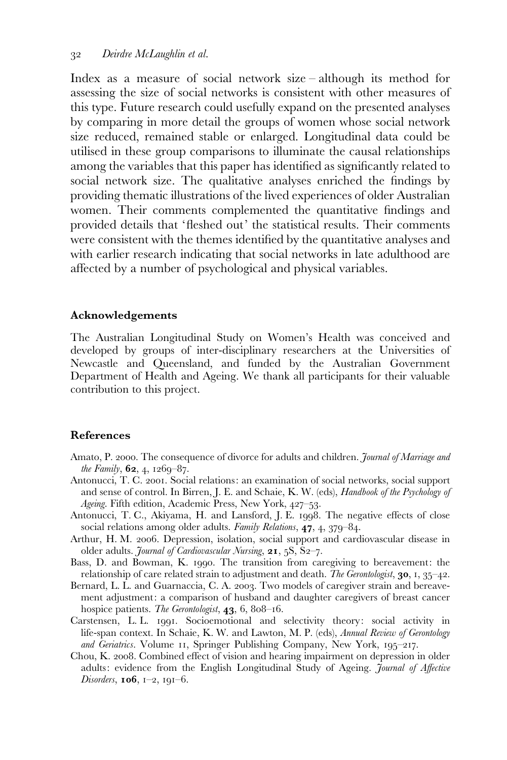Index as a measure of social network size – although its method for assessing the size of social networks is consistent with other measures of this type. Future research could usefully expand on the presented analyses by comparing in more detail the groups of women whose social network size reduced, remained stable or enlarged. Longitudinal data could be utilised in these group comparisons to illuminate the causal relationships among the variables that this paper has identified as significantly related to social network size. The qualitative analyses enriched the findings by providing thematic illustrations of the lived experiences of older Australian women. Their comments complemented the quantitative findings and provided details that 'fleshed out' the statistical results. Their comments were consistent with the themes identified by the quantitative analyses and with earlier research indicating that social networks in late adulthood are affected by a number of psychological and physical variables.

#### Acknowledgements

The Australian Longitudinal Study on Women's Health was conceived and developed by groups of inter-disciplinary researchers at the Universities of Newcastle and Queensland, and funded by the Australian Government Department of Health and Ageing. We thank all participants for their valuable contribution to this project.

#### References

- Amato, P. 2000. The consequence of divorce for adults and children. Journal of Marriage and the Family,  $62, 4, 1269-87$ .
- Antonucci, T. C. 2001. Social relations: an examination of social networks, social support and sense of control. In Birren, J. E. and Schaie, K. W. (eds), Handbook of the Psychology of Ageing. Fifth edition, Academic Press, New York, 427–53.
- Antonucci, T. C., Akiyama, H. and Lansford, J. E. 1998. The negative effects of close social relations among older adults. Family Relations, 47, 4, 379-84.
- Arthur, H. M. 2006. Depression, isolation, social support and cardiovascular disease in older adults. Journal of Cardiovascular Nursing, 21, 5S, S2-7.
- Bass, D. and Bowman, K. 1990. The transition from caregiving to bereavement: the relationship of care related strain to adjustment and death. The Gerontologist, **30**, 1,  $35-42$ .
- Bernard, L. L. and Guarnaccia, C. A. 2003. Two models of caregiver strain and bereavement adjustment: a comparison of husband and daughter caregivers of breast cancer hospice patients. The Gerontologist, 43, 6, 808–16.
- Carstensen, L. L. 1991. Socioemotional and selectivity theory: social activity in life-span context. In Schaie, K. W. and Lawton, M. P. (eds), Annual Review of Gerontology and Geriatrics. Volume 11, Springer Publishing Company, New York, 195-217.
- Chou, K. 2008. Combined effect of vision and hearing impairment on depression in older adults: evidence from the English Longitudinal Study of Ageing. *Journal of Affective Disorders*, **106**,  $1-2$ ,  $191-6$ .